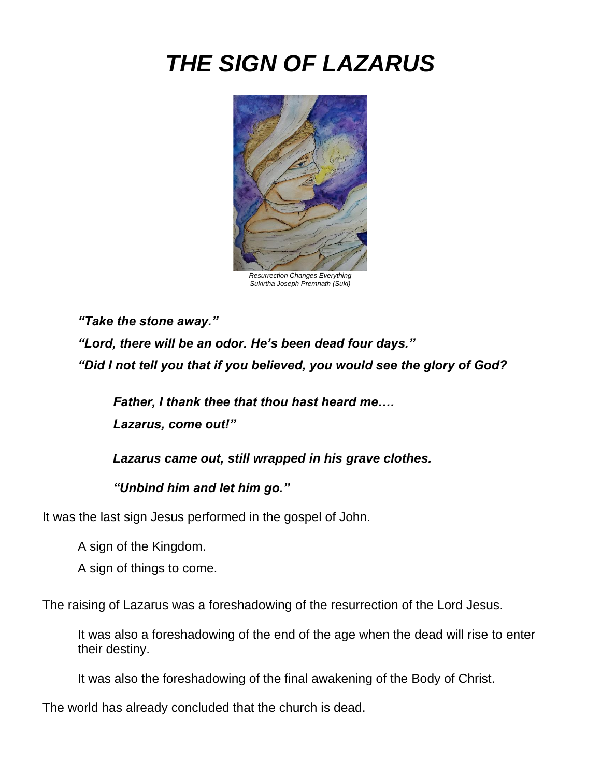# *THE SIGN OF LAZARUS*



*Sukirtha Joseph Premnath (Suki)*

*"Take the stone away."*

*"Lord, there will be an odor. He's been dead four days." "Did I not tell you that if you believed, you would see the glory of God?* 

*Father, I thank thee that thou hast heard me…. Lazarus, come out!"*

*Lazarus came out, still wrapped in his grave clothes.*

*"Unbind him and let him go."*

It was the last sign Jesus performed in the gospel of John.

A sign of the Kingdom.

A sign of things to come.

The raising of Lazarus was a foreshadowing of the resurrection of the Lord Jesus.

It was also a foreshadowing of the end of the age when the dead will rise to enter their destiny.

It was also the foreshadowing of the final awakening of the Body of Christ.

The world has already concluded that the church is dead.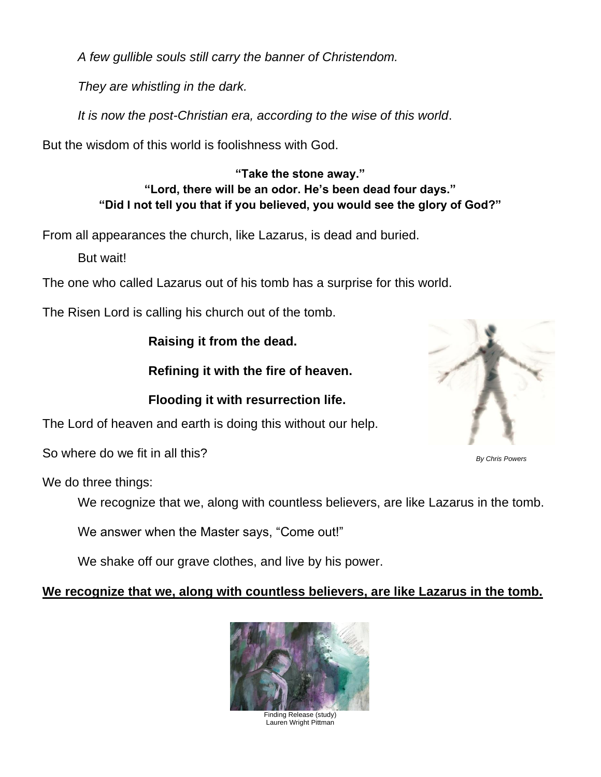*A few gullible souls still carry the banner of Christendom.* 

*They are whistling in the dark.*

*It is now the post-Christian era, according to the wise of this world*.

But the wisdom of this world is foolishness with God.

**"Take the stone away." "Lord, there will be an odor. He's been dead four days." "Did I not tell you that if you believed, you would see the glory of God?"**

From all appearances the church, like Lazarus, is dead and buried.

But wait!

The one who called Lazarus out of his tomb has a surprise for this world.

The Risen Lord is calling his church out of the tomb.

**Raising it from the dead.**

**Refining it with the fire of heaven.**

**Flooding it with resurrection life.**

The Lord of heaven and earth is doing this without our help.

So where do we fit in all this?

We do three things:

We recognize that we, along with countless believers, are like Lazarus in the tomb.

We answer when the Master says, "Come out!"

We shake off our grave clothes, and live by his power.

# **We recognize that we, along with countless believers, are like Lazarus in the tomb.**



Finding Release (study) Lauren Wright Pittman



*By Chris Powers*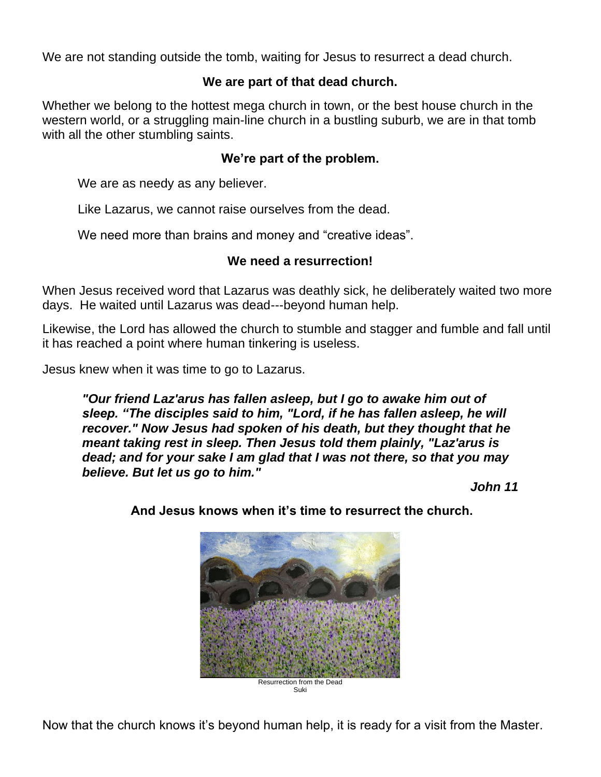We are not standing outside the tomb, waiting for Jesus to resurrect a dead church.

# **We are part of that dead church.**

Whether we belong to the hottest mega church in town, or the best house church in the western world, or a struggling main-line church in a bustling suburb, we are in that tomb with all the other stumbling saints.

# **We're part of the problem.**

We are as needy as any believer.

Like Lazarus, we cannot raise ourselves from the dead.

We need more than brains and money and "creative ideas".

## **We need a resurrection!**

When Jesus received word that Lazarus was deathly sick, he deliberately waited two more days. He waited until Lazarus was dead---beyond human help.

Likewise, the Lord has allowed the church to stumble and stagger and fumble and fall until it has reached a point where human tinkering is useless.

Jesus knew when it was time to go to Lazarus.

*"Our friend Laz'arus has fallen asleep, but I go to awake him out of sleep. "The disciples said to him, "Lord, if he has fallen asleep, he will recover." Now Jesus had spoken of his death, but they thought that he meant taking rest in sleep. Then Jesus told them plainly, "Laz'arus is dead; and for your sake I am glad that I was not there, so that you may believe. But let us go to him."*

*John 11*



**And Jesus knows when it's time to resurrect the church.**

Now that the church knows it's beyond human help, it is ready for a visit from the Master.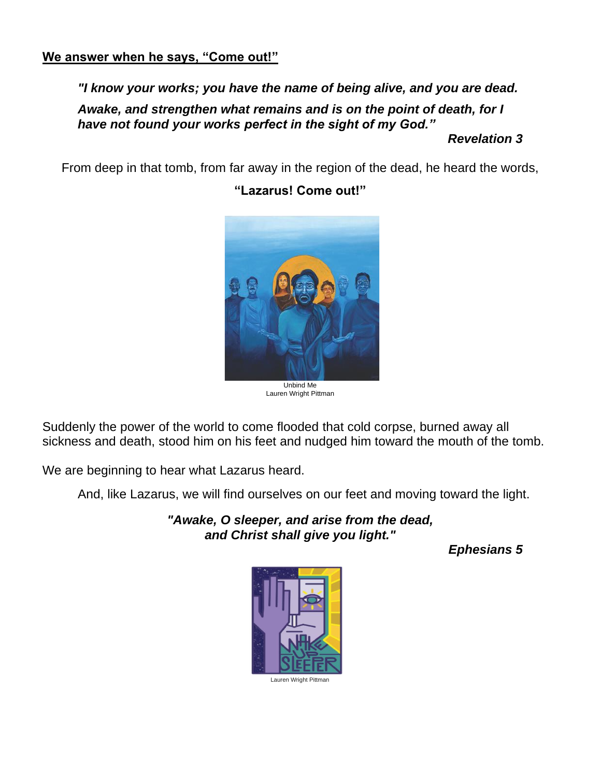#### **We answer when he says, "Come out!"**

#### *"I know your works; you have the name of being alive, and you are dead.*

*Awake, and strengthen what remains and is on the point of death, for I have not found your works perfect in the sight of my God."*

#### *Revelation 3*

From deep in that tomb, from far away in the region of the dead, he heard the words,



# **"Lazarus! Come out!"**

Unbind Me Lauren Wright Pittman

Suddenly the power of the world to come flooded that cold corpse, burned away all sickness and death, stood him on his feet and nudged him toward the mouth of the tomb.

We are beginning to hear what Lazarus heard.

And, like Lazarus, we will find ourselves on our feet and moving toward the light.

*"Awake, O sleeper, and arise from the dead, and Christ shall give you light."*

*Ephesians 5*



Lauren Wright Pittman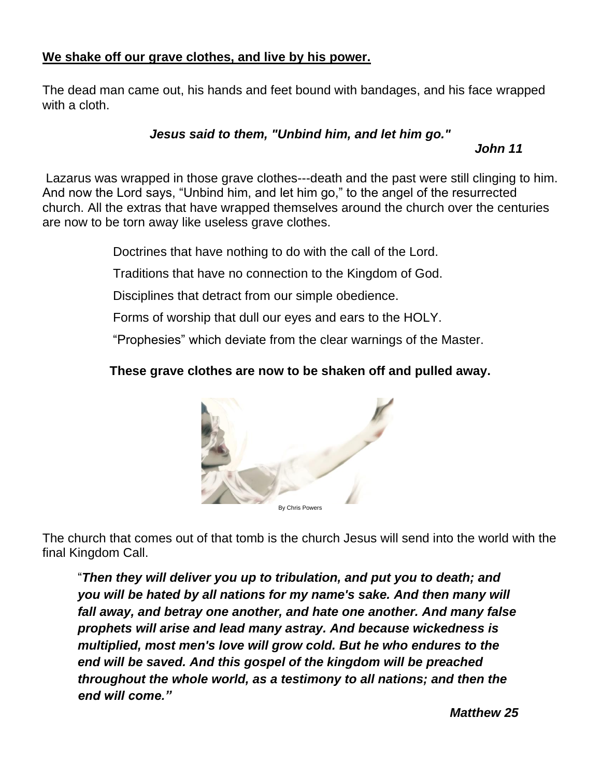# **We shake off our grave clothes, and live by his power.**

The dead man came out, his hands and feet bound with bandages, and his face wrapped with a cloth.

#### *Jesus said to them, "Unbind him, and let him go."*

*John 11*

Lazarus was wrapped in those grave clothes---death and the past were still clinging to him. And now the Lord says, "Unbind him, and let him go," to the angel of the resurrected church. All the extras that have wrapped themselves around the church over the centuries are now to be torn away like useless grave clothes.

Doctrines that have nothing to do with the call of the Lord.

Traditions that have no connection to the Kingdom of God.

Disciplines that detract from our simple obedience.

Forms of worship that dull our eyes and ears to the HOLY.

"Prophesies" which deviate from the clear warnings of the Master.

# **These grave clothes are now to be shaken off and pulled away.**



The church that comes out of that tomb is the church Jesus will send into the world with the final Kingdom Call.

"*Then they will deliver you up to tribulation, and put you to death; and you will be hated by all nations for my name's sake. And then many will fall away, and betray one another, and hate one another. And many false prophets will arise and lead many astray. And because wickedness is multiplied, most men's love will grow cold. But he who endures to the end will be saved. And this gospel of the kingdom will be preached throughout the whole world, as a testimony to all nations; and then the end will come."*